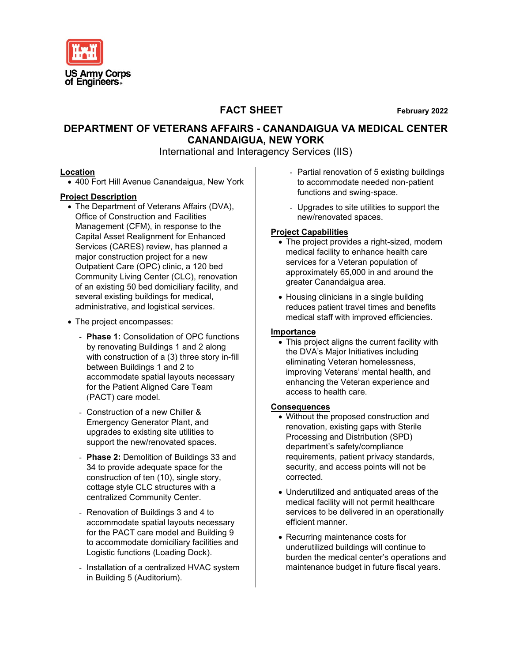

#### **FACT SHEET February 2022**

#### **DEPARTMENT OF VETERANS AFFAIRS - CANANDAIGUA VA MEDICAL CENTER CANANDAIGUA, NEW YORK**

International and Interagency Services (IIS)

#### **Location**

• 400 Fort Hill Avenue Canandaigua, New York

#### **Project Description**

- The Department of Veterans Affairs (DVA), Office of Construction and Facilities Management (CFM), in response to the Capital Asset Realignment for Enhanced Services (CARES) review, has planned a major construction project for a new Outpatient Care (OPC) clinic, a 120 bed Community Living Center (CLC), renovation of an existing 50 bed domiciliary facility, and several existing buildings for medical, administrative, and logistical services.
- The project encompasses:
	- **Phase 1:** Consolidation of OPC functions by renovating Buildings 1 and 2 along with construction of a (3) three story in-fill between Buildings 1 and 2 to accommodate spatial layouts necessary for the Patient Aligned Care Team (PACT) care model.
	- Construction of a new Chiller & Emergency Generator Plant, and upgrades to existing site utilities to support the new/renovated spaces.
	- **Phase 2: Demolition of Buildings 33 and** 34 to provide adequate space for the construction of ten (10), single story, cottage style CLC structures with a centralized Community Center.
	- Renovation of Buildings 3 and 4 to accommodate spatial layouts necessary for the PACT care model and Building 9 to accommodate domiciliary facilities and Logistic functions (Loading Dock).
	- Installation of a centralized HVAC system in Building 5 (Auditorium).
- Partial renovation of 5 existing buildings to accommodate needed non-patient functions and swing-space.
- Upgrades to site utilities to support the new/renovated spaces.

#### **Project Capabilities**

- The project provides a right-sized, modern medical facility to enhance health care services for a Veteran population of approximately 65,000 in and around the greater Canandaigua area.
- Housing clinicians in a single building reduces patient travel times and benefits medical staff with improved efficiencies.

#### **Importance**

• This project aligns the current facility with the DVA's Major Initiatives including eliminating Veteran homelessness, improving Veterans' mental health, and enhancing the Veteran experience and access to health care.

#### **Consequences**

- Without the proposed construction and renovation, existing gaps with Sterile Processing and Distribution (SPD) department's safety/compliance requirements, patient privacy standards, security, and access points will not be corrected.
- Underutilized and antiquated areas of the medical facility will not permit healthcare services to be delivered in an operationally efficient manner.
- Recurring maintenance costs for underutilized buildings will continue to burden the medical center's operations and maintenance budget in future fiscal years.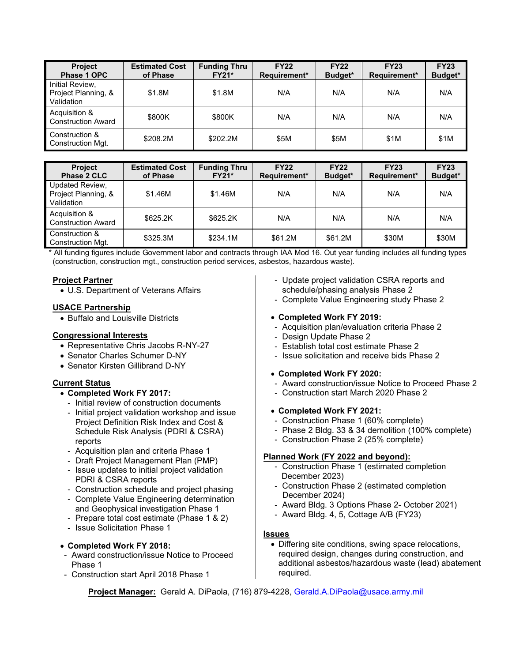| <b>Project</b><br>Phase 1 OPC                        | <b>Estimated Cost</b><br>of Phase | <b>Funding Thru</b><br><b>FY21*</b> | <b>FY22</b><br>Requirement* | <b>FY22</b><br>Budget* | <b>FY23</b><br>Requirement* | <b>FY23</b><br>Budget* |
|------------------------------------------------------|-----------------------------------|-------------------------------------|-----------------------------|------------------------|-----------------------------|------------------------|
| Initial Review,<br>Project Planning, &<br>Validation | \$1.8M                            | \$1.8M                              | N/A                         | N/A                    | N/A                         | N/A                    |
| Acquisition &<br><b>Construction Award</b>           | \$800K                            | \$800K                              | N/A                         | N/A                    | N/A                         | N/A                    |
| Construction &<br>Construction Mgt.                  | \$208.2M                          | \$202.2M                            | \$5M                        | \$5M                   | \$1M                        | \$1M                   |

| <b>Project</b><br>Phase 2 CLC                        | <b>Estimated Cost</b><br>of Phase | <b>Funding Thru</b><br><b>FY21*</b> | <b>FY22</b><br>Requirement* | <b>FY22</b><br>Budget* | <b>FY23</b><br>Requirement* | <b>FY23</b><br>Budget* |
|------------------------------------------------------|-----------------------------------|-------------------------------------|-----------------------------|------------------------|-----------------------------|------------------------|
| Updated Review,<br>Project Planning, &<br>Validation | \$1.46M                           | \$1.46M                             | N/A                         | N/A                    | N/A                         | N/A                    |
| Acquisition &<br><b>Construction Award</b>           | \$625.2K                          | \$625.2K                            | N/A                         | N/A                    | N/A                         | N/A                    |
| Construction &<br>Construction Mgt.                  | \$325.3M                          | \$234.1M                            | \$61.2M                     | \$61.2M                | \$30M                       | \$30M                  |

\* All funding figures include Government labor and contracts through IAA Mod 16. Out year funding includes all funding types (construction, construction mgt., construction period services, asbestos, hazardous waste).

#### **Project Partner**

• U.S. Department of Veterans Affairs

#### **USACE Partnership**

• Buffalo and Louisville Districts

#### **Congressional Interests**

- Representative Chris Jacobs R-NY-27
- Senator Charles Schumer D-NY
- Senator Kirsten Gillibrand D-NY

#### **Current Status**

- **Completed Work FY 2017:**
	- Initial review of construction documents
	- Initial project validation workshop and issue Project Definition Risk Index and Cost & Schedule Risk Analysis (PDRI & CSRA) reports
	- Acquisition plan and criteria Phase 1
	- Draft Project Management Plan (PMP)
	- Issue updates to initial project validation PDRI & CSRA reports
	- Construction schedule and project phasing
	- Complete Value Engineering determination and Geophysical investigation Phase 1
	- Prepare total cost estimate (Phase 1 & 2)
	- Issue Solicitation Phase 1

#### • **Completed Work FY 2018:**

- Award construction/issue Notice to Proceed Phase 1
- Construction start April 2018 Phase 1
- Update project validation CSRA reports and schedule/phasing analysis Phase 2
- Complete Value Engineering study Phase 2

#### • **Completed Work FY 2019:**

- Acquisition plan/evaluation criteria Phase 2
- Design Update Phase 2
- Establish total cost estimate Phase 2
- Issue solicitation and receive bids Phase 2

#### • **Completed Work FY 2020:**

- Award construction/issue Notice to Proceed Phase 2
- Construction start March 2020 Phase 2
- **Completed Work FY 2021:**
- Construction Phase 1 (60% complete)
- Phase 2 Bldg. 33 & 34 demolition (100% complete)
- Construction Phase 2 (25% complete)

#### **Planned Work (FY 2022 and beyond):**

- Construction Phase 1 (estimated completion December 2023)
- Construction Phase 2 (estimated completion December 2024)
- Award Bldg. 3 Options Phase 2- October 2021)
- Award Bldg. 4, 5, Cottage A/B (FY23)

#### **Issues**

• Differing site conditions, swing space relocations, required design, changes during construction, and additional asbestos/hazardous waste (lead) abatement required.

**Project Manager:** Gerald A. DiPaola, (716) 879-4228, [Gerald.A.DiPaola@usace.army.mil](mailto:Gerald.A.DiPaola@usace.army.mil)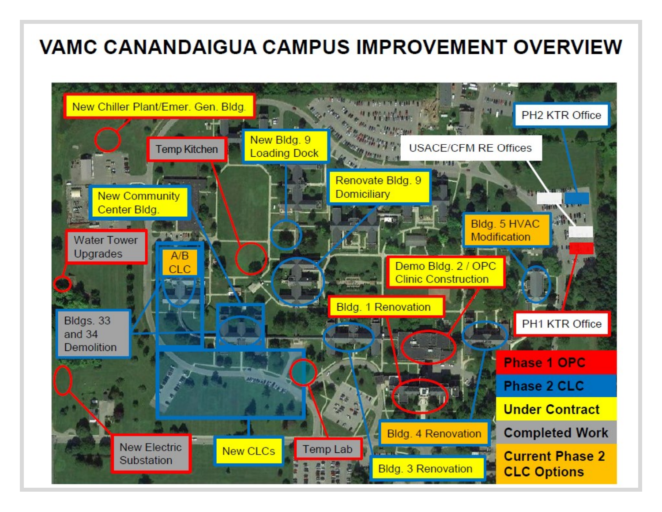## **VAMC CANANDAIGUA CAMPUS IMPROVEMENT OVERVIEW**

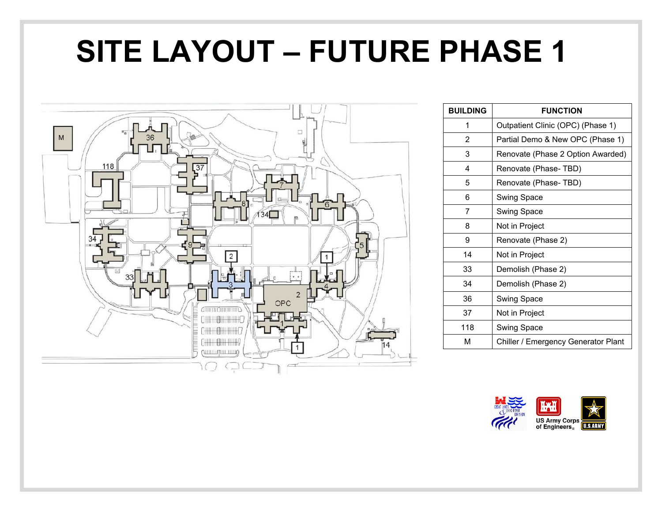# **SITE LAYOUT – FUTURE PHASE 1**



| <b>BUILDING</b> | <b>FUNCTION</b>                     |
|-----------------|-------------------------------------|
| 1               | Outpatient Clinic (OPC) (Phase 1)   |
| 2               | Partial Demo & New OPC (Phase 1)    |
| 3               | Renovate (Phase 2 Option Awarded)   |
| 4               | Renovate (Phase-TBD)                |
| 5               | Renovate (Phase-TBD)                |
| 6               | Swing Space                         |
| 7               | <b>Swing Space</b>                  |
| 8               | Not in Project                      |
| 9               | Renovate (Phase 2)                  |
| 14              | Not in Project                      |
| 33              | Demolish (Phase 2)                  |
| 34              | Demolish (Phase 2)                  |
| 36              | Swing Space                         |
| 37              | Not in Project                      |
| 118             | Swing Space                         |
| М               | Chiller / Emergency Generator Plant |

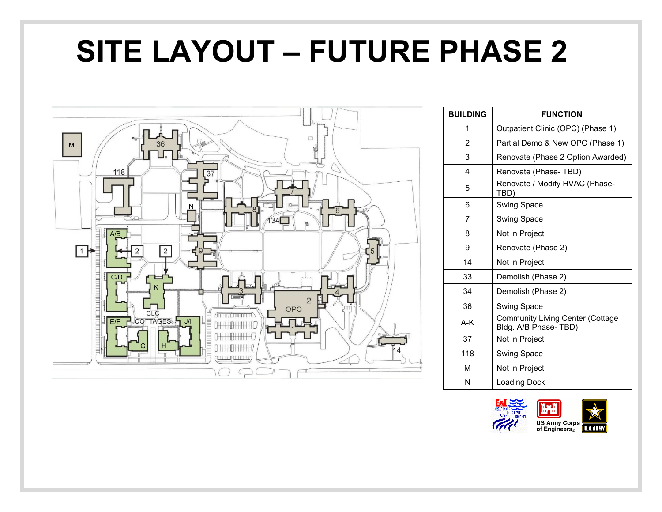# **SITE LAYOUT – FUTURE PHASE 2**



| <b>BUILDING</b> | <b>FUNCTION</b>                                                 |
|-----------------|-----------------------------------------------------------------|
| 1               | Outpatient Clinic (OPC) (Phase 1)                               |
| 2               | Partial Demo & New OPC (Phase 1)                                |
| 3               | Renovate (Phase 2 Option Awarded)                               |
| 4               | Renovate (Phase-TBD)                                            |
| 5               | Renovate / Modify HVAC (Phase-<br>TBD)                          |
| 6               | Swing Space                                                     |
| 7               | Swing Space                                                     |
| 8               | Not in Project                                                  |
| 9               | Renovate (Phase 2)                                              |
| 14              | Not in Project                                                  |
| 33              | Demolish (Phase 2)                                              |
| 34              | Demolish (Phase 2)                                              |
| 36              | Swing Space                                                     |
| A-K             | <b>Community Living Center (Cottage</b><br>Bldg. A/B Phase-TBD) |
| 37              | Not in Project                                                  |
| 118             | Swing Space                                                     |
| м               | Not in Project                                                  |
| N               | Loading Dock                                                    |

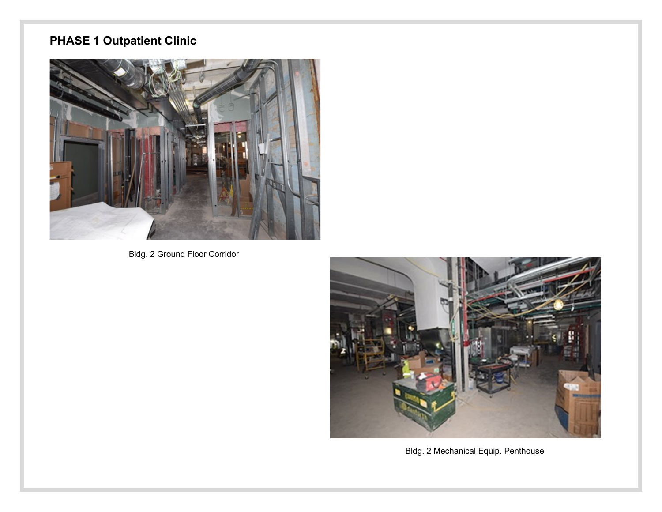### **PHASE 1 Outpatient Clinic**



Bldg. 2 Ground Floor Corridor



Bldg. 2 Mechanical Equip. Penthouse